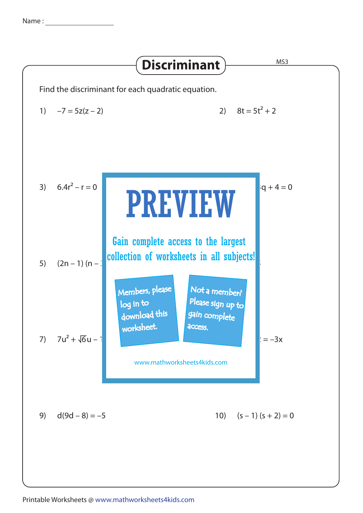